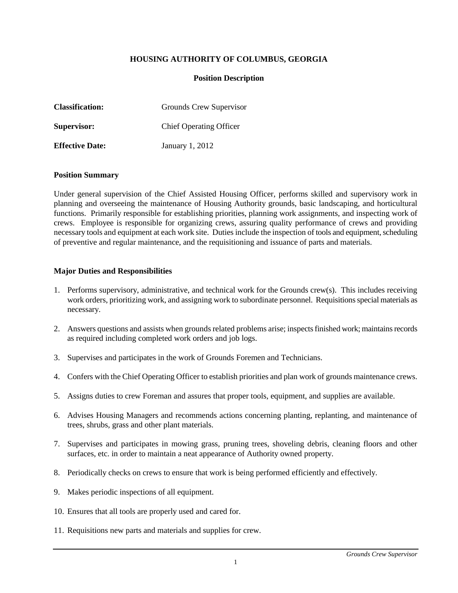## **HOUSING AUTHORITY OF COLUMBUS, GEORGIA**

## **Position Description**

| <b>Classification:</b> | Grounds Crew Supervisor        |
|------------------------|--------------------------------|
| Supervisor:            | <b>Chief Operating Officer</b> |
| <b>Effective Date:</b> | January 1, 2012                |

### **Position Summary**

Under general supervision of the Chief Assisted Housing Officer, performs skilled and supervisory work in planning and overseeing the maintenance of Housing Authority grounds, basic landscaping, and horticultural functions. Primarily responsible for establishing priorities, planning work assignments, and inspecting work of crews. Employee is responsible for organizing crews, assuring quality performance of crews and providing necessary tools and equipment at each work site. Duties include the inspection of tools and equipment, scheduling of preventive and regular maintenance, and the requisitioning and issuance of parts and materials.

### **Major Duties and Responsibilities**

- 1. Performs supervisory, administrative, and technical work for the Grounds crew(s). This includes receiving work orders, prioritizing work, and assigning work to subordinate personnel. Requisitions special materials as necessary.
- 2. Answers questions and assists when grounds related problems arise; inspects finished work; maintains records as required including completed work orders and job logs.
- 3. Supervises and participates in the work of Grounds Foremen and Technicians.
- 4. Confers with the Chief Operating Officer to establish priorities and plan work of grounds maintenance crews.
- 5. Assigns duties to crew Foreman and assures that proper tools, equipment, and supplies are available.
- 6. Advises Housing Managers and recommends actions concerning planting, replanting, and maintenance of trees, shrubs, grass and other plant materials.
- 7. Supervises and participates in mowing grass, pruning trees, shoveling debris, cleaning floors and other surfaces, etc. in order to maintain a neat appearance of Authority owned property.
- 8. Periodically checks on crews to ensure that work is being performed efficiently and effectively.
- 9. Makes periodic inspections of all equipment.
- 10. Ensures that all tools are properly used and cared for.
- 11. Requisitions new parts and materials and supplies for crew.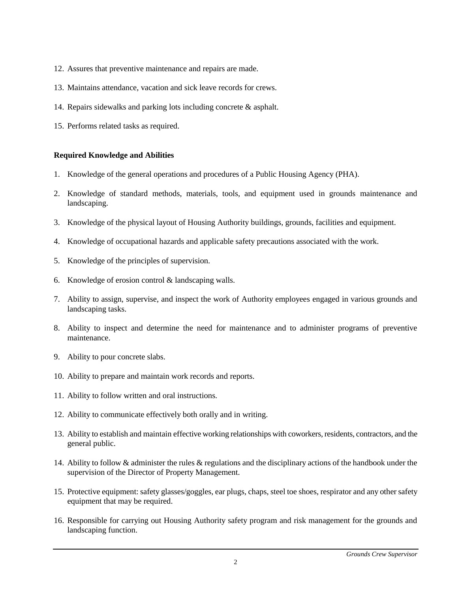- 12. Assures that preventive maintenance and repairs are made.
- 13. Maintains attendance, vacation and sick leave records for crews.
- 14. Repairs sidewalks and parking lots including concrete & asphalt.
- 15. Performs related tasks as required.

# **Required Knowledge and Abilities**

- 1. Knowledge of the general operations and procedures of a Public Housing Agency (PHA).
- 2. Knowledge of standard methods, materials, tools, and equipment used in grounds maintenance and landscaping.
- 3. Knowledge of the physical layout of Housing Authority buildings, grounds, facilities and equipment.
- 4. Knowledge of occupational hazards and applicable safety precautions associated with the work.
- 5. Knowledge of the principles of supervision.
- 6. Knowledge of erosion control & landscaping walls.
- 7. Ability to assign, supervise, and inspect the work of Authority employees engaged in various grounds and landscaping tasks.
- 8. Ability to inspect and determine the need for maintenance and to administer programs of preventive maintenance.
- 9. Ability to pour concrete slabs.
- 10. Ability to prepare and maintain work records and reports.
- 11. Ability to follow written and oral instructions.
- 12. Ability to communicate effectively both orally and in writing.
- 13. Ability to establish and maintain effective working relationships with coworkers, residents, contractors, and the general public.
- 14. Ability to follow & administer the rules & regulations and the disciplinary actions of the handbook under the supervision of the Director of Property Management.
- 15. Protective equipment: safety glasses/goggles, ear plugs, chaps, steel toe shoes, respirator and any other safety equipment that may be required.
- 16. Responsible for carrying out Housing Authority safety program and risk management for the grounds and landscaping function.